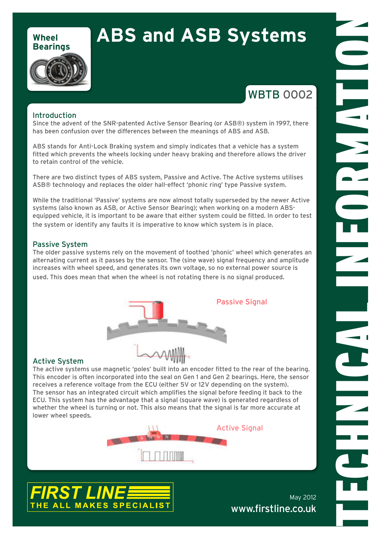### **Wheel Bearings**

# **ABS and ASB Systems**

## **WBTB 0002**

TECHNICAL INFORMATION

#### Introduction

Since the advent of the SNR-patented Active Sensor Bearing (or ASB®) system in 1997, there has been confusion over the differences between the meanings of ABS and ASB.

ABS stands for Anti-Lock Braking system and simply indicates that a vehicle has a system fitted which prevents the wheels locking under heavy braking and therefore allows the driver to retain control of the vehicle.

There are two distinct types of ABS system, Passive and Active. The Active systems utilises ASB® technology and replaces the older hall-effect 'phonic ring' type Passive system.

While the traditional 'Passive' systems are now almost totally superseded by the newer Active systems (also known as ASB, or Active Sensor Bearing); when working on a modern ABSequipped vehicle, it is important to be aware that either system could be fitted. In order to test the system or identify any faults it is imperative to know which system is in place.

#### Passive System

The older passive systems rely on the movement of toothed 'phonic' wheel which generates an alternating current as it passes by the sensor. The (sine wave) signal frequency and amplitude increases with wheel speed, and generates its own voltage, so no external power source is used. This does mean that when the wheel is not rotating there is no signal produced.



#### Active System

The active systems use magnetic 'poles' built into an encoder fitted to the rear of the bearing. This encoder is often incorporated into the seal on Gen 1 and Gen 2 bearings. Here, the sensor receives a reference voltage from the ECU (either 5V or 12V depending on the system). The sensor has an integrated circuit which amplifies the signal before feeding it back to the ECU. This system has the advantage that a signal (square wave) is generated regardless of whether the wheel is turning or not. This also means that the signal is far more accurate at lower wheel speeds.





May 2012 www.firstline.co.uk